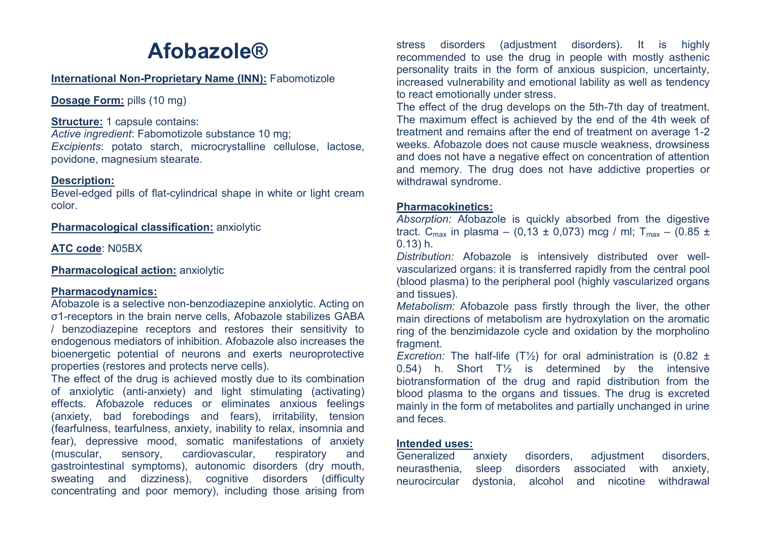# **Afobazole®**

#### **International Non-Proprietary Name (INN):** Fabomotizole

**Dosage Form: pills (10 mg)** 

**Structure: 1 capsule contains:** 

*Active ingredient*: Fabomotizole substance 10 mg;

*Excipients*: potato starch, microcrystalline cellulose, lactose, povidone, magnesium stearate.

# **Description:**

Bevel-edged pills of flat-cylindrical shape in white or light cream color.

**Pharmacological classification:** anxiolytic

**ATC code**: N05BX

**Pharmacological action: anxiolytic** 

# **Pharmacodynamics:**

Afobazole is a selective non-benzodiazepine anxiolytic. Acting on σ1-receptors in the brain nerve cells, Afobazole stabilizes GABA / benzodiazepine receptors and restores their sensitivity to endogenous mediators of inhibition. Afobazole also increases the bioenergetic potential of neurons and exerts neuroprotective properties (restores and protects nerve cells).

The effect of the drug is achieved mostly due to its combination of anxiolytic (anti-anxiety) and light stimulating (activating) effects. Afobazole reduces or eliminates anxious feelings (anxiety, bad forebodings and fears), irritability, tension (fearfulness, tearfulness, anxiety, inability to relax, insomnia and fear), depressive mood, somatic manifestations of anxiety (muscular, sensory, cardiovascular, respiratory and gastrointestinal symptoms), autonomic disorders (dry mouth, sweating and dizziness), cognitive disorders (difficulty concentrating and poor memory), including those arising from

stress disorders (adjustment disorders). It is highly recommended to use the drug in people with mostly asthenic personality traits in the form of anxious suspicion, uncertainty, increased vulnerability and emotional lability as well as tendency to react emotionally under stress.

The effect of the drug develops on the 5th-7th day of treatment. The maximum effect is achieved by the end of the 4th week of treatment and remains after the end of treatment on average 1-2 weeks. Afobazole does not cause muscle weakness, drowsiness and does not have a negative effect on concentration of attention and memory. The drug does not have addictive properties or withdrawal syndrome.

# **Pharmacokinetics:**

*Absorption:* Afobazole is quickly absorbed from the digestive tract. C<sub>max</sub> in plasma – (0,13 ± 0,073) mcg / ml; T<sub>max</sub> – (0.85 ± 0.13) h.

*Distribution:* Afobazole is intensively distributed over wellvascularized organs: it is transferred rapidly from the central pool (blood plasma) to the peripheral pool (highly vascularized organs and tissues).

*Metabolism:* Afobazole pass firstly through the liver, the other main directions of metabolism are hydroxylation on the aromatic ring of the benzimidazole cycle and oxidation by the morpholino fragment.

*Excretion:* The half-life (T½) for oral administration is (0.82 ± 0.54) h. Short  $T\frac{1}{2}$  is determined by the intensive biotransformation of the drug and rapid distribution from the blood plasma to the organs and tissues. The drug is excreted mainly in the form of metabolites and partially unchanged in urine and feces.

#### **Intended uses:**

Generalized anxiety disorders, adjustment disorders, neurasthenia, sleep disorders associated with anxiety, neurocircular dystonia, alcohol and nicotine withdrawal